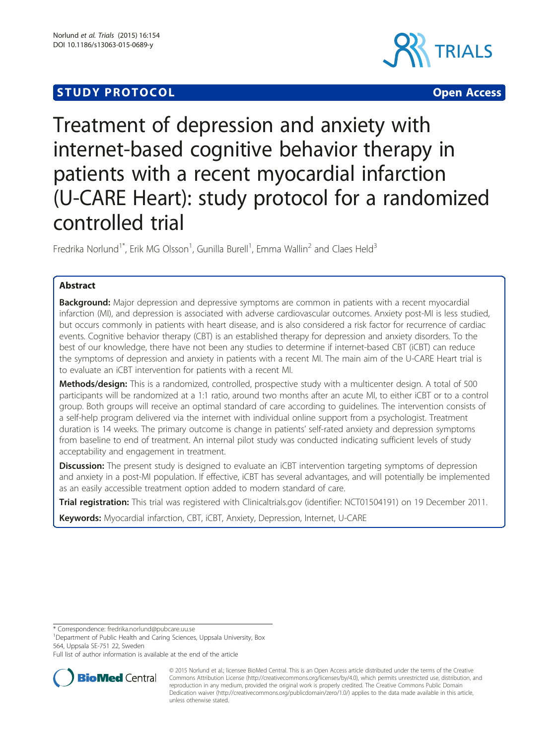## **STUDY PROTOCOL CONSUMING THE CONSUMING OPEN ACCESS**



# Treatment of depression and anxiety with internet-based cognitive behavior therapy in patients with a recent myocardial infarction (U-CARE Heart): study protocol for a randomized controlled trial

Fredrika Norlund<sup>1\*</sup>, Erik MG Olsson<sup>1</sup>, Gunilla Burell<sup>1</sup>, Emma Wallin<sup>2</sup> and Claes Held<sup>3</sup>

## Abstract

**Background:** Major depression and depressive symptoms are common in patients with a recent myocardial infarction (MI), and depression is associated with adverse cardiovascular outcomes. Anxiety post-MI is less studied, but occurs commonly in patients with heart disease, and is also considered a risk factor for recurrence of cardiac events. Cognitive behavior therapy (CBT) is an established therapy for depression and anxiety disorders. To the best of our knowledge, there have not been any studies to determine if internet-based CBT (iCBT) can reduce the symptoms of depression and anxiety in patients with a recent MI. The main aim of the U-CARE Heart trial is to evaluate an iCBT intervention for patients with a recent MI.

Methods/design: This is a randomized, controlled, prospective study with a multicenter design. A total of 500 participants will be randomized at a 1:1 ratio, around two months after an acute MI, to either iCBT or to a control group. Both groups will receive an optimal standard of care according to guidelines. The intervention consists of a self-help program delivered via the internet with individual online support from a psychologist. Treatment duration is 14 weeks. The primary outcome is change in patients' self-rated anxiety and depression symptoms from baseline to end of treatment. An internal pilot study was conducted indicating sufficient levels of study acceptability and engagement in treatment.

**Discussion:** The present study is designed to evaluate an iCBT intervention targeting symptoms of depression and anxiety in a post-MI population. If effective, iCBT has several advantages, and will potentially be implemented as an easily accessible treatment option added to modern standard of care.

Trial registration: This trial was registered with Clinicaltrials.gov (identifier: [NCT01504191](https://clinicaltrials.gov/ct2/show/NCT01504191?term=NCT01504191&rank=1)) on 19 December 2011.

Keywords: Myocardial infarction, CBT, iCBT, Anxiety, Depression, Internet, U-CARE

\* Correspondence: [fredrika.norlund@pubcare.uu.se](mailto:fredrika.norlund@pubcare.uu.se) <sup>1</sup>

<sup>1</sup>Department of Public Health and Caring Sciences, Uppsala University, Box 564, Uppsala SE-751 22, Sweden

Full list of author information is available at the end of the article



© 2015 Norlund et al.; licensee BioMed Central. This is an Open Access article distributed under the terms of the Creative Commons Attribution License [\(http://creativecommons.org/licenses/by/4.0\)](http://creativecommons.org/licenses/by/4.0), which permits unrestricted use, distribution, and reproduction in any medium, provided the original work is properly credited. The Creative Commons Public Domain Dedication waiver [\(http://creativecommons.org/publicdomain/zero/1.0/](http://creativecommons.org/publicdomain/zero/1.0/)) applies to the data made available in this article, unless otherwise stated.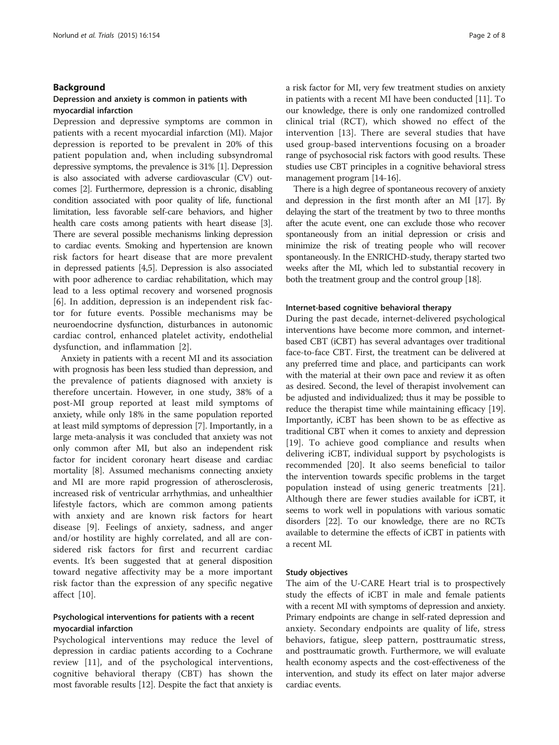#### Background

## Depression and anxiety is common in patients with myocardial infarction

Depression and depressive symptoms are common in patients with a recent myocardial infarction (MI). Major depression is reported to be prevalent in 20% of this patient population and, when including subsyndromal depressive symptoms, the prevalence is 31% [\[1](#page-6-0)]. Depression is also associated with adverse cardiovascular (CV) outcomes [\[2](#page-6-0)]. Furthermore, depression is a chronic, disabling condition associated with poor quality of life, functional limitation, less favorable self-care behaviors, and higher health care costs among patients with heart disease [[3](#page-6-0)]. There are several possible mechanisms linking depression to cardiac events. Smoking and hypertension are known risk factors for heart disease that are more prevalent in depressed patients [[4,5](#page-6-0)]. Depression is also associated with poor adherence to cardiac rehabilitation, which may lead to a less optimal recovery and worsened prognosis [[6\]](#page-6-0). In addition, depression is an independent risk factor for future events. Possible mechanisms may be neuroendocrine dysfunction, disturbances in autonomic cardiac control, enhanced platelet activity, endothelial dysfunction, and inflammation [[2\]](#page-6-0).

Anxiety in patients with a recent MI and its association with prognosis has been less studied than depression, and the prevalence of patients diagnosed with anxiety is therefore uncertain. However, in one study, 38% of a post-MI group reported at least mild symptoms of anxiety, while only 18% in the same population reported at least mild symptoms of depression [[7\]](#page-6-0). Importantly, in a large meta-analysis it was concluded that anxiety was not only common after MI, but also an independent risk factor for incident coronary heart disease and cardiac mortality [\[8](#page-6-0)]. Assumed mechanisms connecting anxiety and MI are more rapid progression of atherosclerosis, increased risk of ventricular arrhythmias, and unhealthier lifestyle factors, which are common among patients with anxiety and are known risk factors for heart disease [[9\]](#page-6-0). Feelings of anxiety, sadness, and anger and/or hostility are highly correlated, and all are considered risk factors for first and recurrent cardiac events. It's been suggested that at general disposition toward negative affectivity may be a more important risk factor than the expression of any specific negative affect [[10\]](#page-6-0).

## Psychological interventions for patients with a recent myocardial infarction

Psychological interventions may reduce the level of depression in cardiac patients according to a Cochrane review [\[11](#page-6-0)], and of the psychological interventions, cognitive behavioral therapy (CBT) has shown the most favorable results [[12](#page-6-0)]. Despite the fact that anxiety is

a risk factor for MI, very few treatment studies on anxiety in patients with a recent MI have been conducted [\[11](#page-6-0)]. To our knowledge, there is only one randomized controlled clinical trial (RCT), which showed no effect of the intervention [[13](#page-6-0)]. There are several studies that have used group-based interventions focusing on a broader range of psychosocial risk factors with good results. These studies use CBT principles in a cognitive behavioral stress management program [\[14-16\]](#page-6-0).

There is a high degree of spontaneous recovery of anxiety and depression in the first month after an MI [\[17\]](#page-6-0). By delaying the start of the treatment by two to three months after the acute event, one can exclude those who recover spontaneously from an initial depression or crisis and minimize the risk of treating people who will recover spontaneously. In the ENRICHD-study, therapy started two weeks after the MI, which led to substantial recovery in both the treatment group and the control group [[18](#page-6-0)].

#### Internet-based cognitive behavioral therapy

During the past decade, internet-delivered psychological interventions have become more common, and internetbased CBT (iCBT) has several advantages over traditional face-to-face CBT. First, the treatment can be delivered at any preferred time and place, and participants can work with the material at their own pace and review it as often as desired. Second, the level of therapist involvement can be adjusted and individualized; thus it may be possible to reduce the therapist time while maintaining efficacy [[19](#page-7-0)]. Importantly, iCBT has been shown to be as effective as traditional CBT when it comes to anxiety and depression [[19\]](#page-7-0). To achieve good compliance and results when delivering iCBT, individual support by psychologists is recommended [[20](#page-7-0)]. It also seems beneficial to tailor the intervention towards specific problems in the target population instead of using generic treatments [\[21](#page-7-0)]. Although there are fewer studies available for iCBT, it seems to work well in populations with various somatic disorders [\[22\]](#page-7-0). To our knowledge, there are no RCTs available to determine the effects of iCBT in patients with a recent MI.

#### Study objectives

The aim of the U-CARE Heart trial is to prospectively study the effects of iCBT in male and female patients with a recent MI with symptoms of depression and anxiety. Primary endpoints are change in self-rated depression and anxiety. Secondary endpoints are quality of life, stress behaviors, fatigue, sleep pattern, posttraumatic stress, and posttraumatic growth. Furthermore, we will evaluate health economy aspects and the cost-effectiveness of the intervention, and study its effect on later major adverse cardiac events.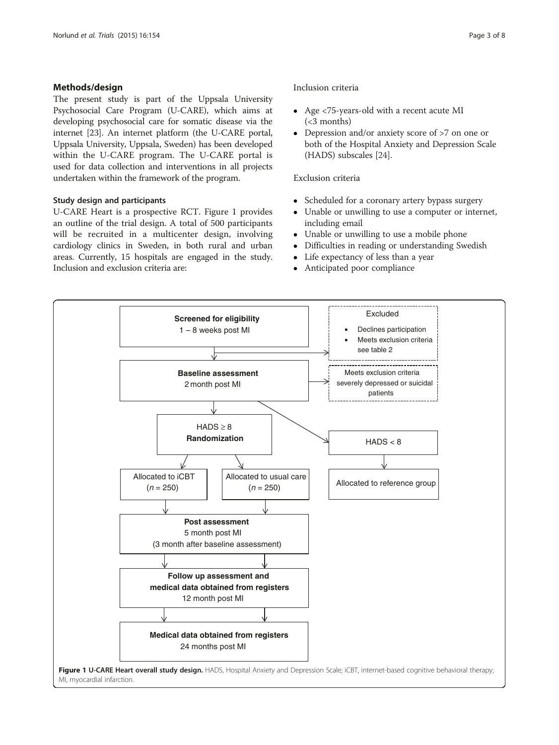## <span id="page-2-0"></span>Methods/design

The present study is part of the Uppsala University Psychosocial Care Program (U-CARE), which aims at developing psychosocial care for somatic disease via the internet [\[23](#page-7-0)]. An internet platform (the U-CARE portal, Uppsala University, Uppsala, Sweden) has been developed within the U-CARE program. The U-CARE portal is used for data collection and interventions in all projects undertaken within the framework of the program.

## Study design and participants

U-CARE Heart is a prospective RCT. Figure 1 provides an outline of the trial design. A total of 500 participants will be recruited in a multicenter design, involving cardiology clinics in Sweden, in both rural and urban areas. Currently, 15 hospitals are engaged in the study. Inclusion and exclusion criteria are:

## Inclusion criteria

- Age <75-years-old with a recent acute MI (<3 months)
- Depression and/or anxiety score of >7 on one or both of the Hospital Anxiety and Depression Scale (HADS) subscales [\[24\]](#page-7-0).

## Exclusion criteria

- Scheduled for a coronary artery bypass surgery<br>• Unable or unwilling to use a computer or inter
- Unable or unwilling to use a computer or internet, including email
- Unable or unwilling to use a mobile phone
- Difficulties in reading or understanding Swedish
- Life expectancy of less than a year
- Anticipated poor compliance

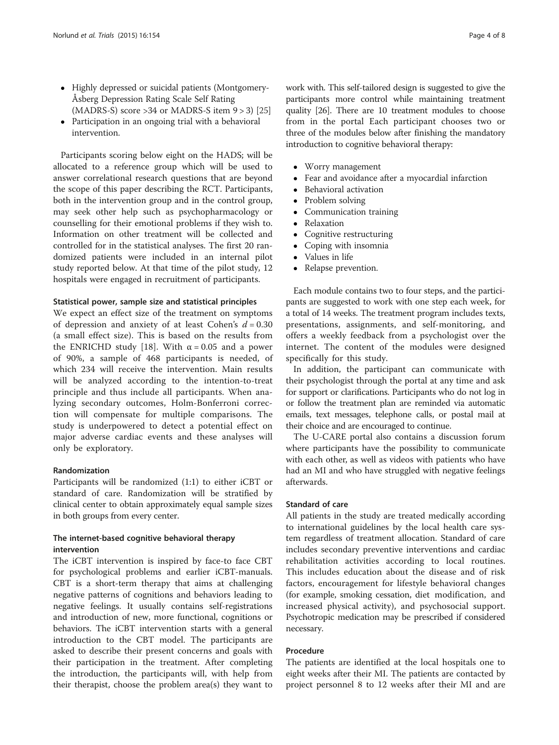- Highly depressed or suicidal patients (Montgomery-Åsberg Depression Rating Scale Self Rating (MADRS-S) score  $>34$  or MADRS-S item  $9 > 3$ ) [\[25\]](#page-7-0)
- Participation in an ongoing trial with a behavioral intervention.

Participants scoring below eight on the HADS; will be allocated to a reference group which will be used to answer correlational research questions that are beyond the scope of this paper describing the RCT. Participants, both in the intervention group and in the control group, may seek other help such as psychopharmacology or counselling for their emotional problems if they wish to. Information on other treatment will be collected and controlled for in the statistical analyses. The first 20 randomized patients were included in an internal pilot study reported below. At that time of the pilot study, 12 hospitals were engaged in recruitment of participants.

#### Statistical power, sample size and statistical principles

We expect an effect size of the treatment on symptoms of depression and anxiety of at least Cohen's  $d = 0.30$ (a small effect size). This is based on the results from the ENRICHD study [\[18](#page-6-0)]. With  $α = 0.05$  and a power of 90%, a sample of 468 participants is needed, of which 234 will receive the intervention. Main results will be analyzed according to the intention-to-treat principle and thus include all participants. When analyzing secondary outcomes, Holm-Bonferroni correction will compensate for multiple comparisons. The study is underpowered to detect a potential effect on major adverse cardiac events and these analyses will only be exploratory.

#### Randomization

Participants will be randomized (1:1) to either iCBT or standard of care. Randomization will be stratified by clinical center to obtain approximately equal sample sizes in both groups from every center.

## The internet-based cognitive behavioral therapy intervention

The iCBT intervention is inspired by face-to face CBT for psychological problems and earlier iCBT-manuals. CBT is a short-term therapy that aims at challenging negative patterns of cognitions and behaviors leading to negative feelings. It usually contains self-registrations and introduction of new, more functional, cognitions or behaviors. The iCBT intervention starts with a general introduction to the CBT model. The participants are asked to describe their present concerns and goals with their participation in the treatment. After completing the introduction, the participants will, with help from their therapist, choose the problem area(s) they want to work with. This self-tailored design is suggested to give the participants more control while maintaining treatment quality [\[26](#page-7-0)]. There are 10 treatment modules to choose from in the portal Each participant chooses two or three of the modules below after finishing the mandatory introduction to cognitive behavioral therapy:

- Worry management
- Fear and avoidance after a myocardial infarction<br>• Behavioral activation
- Behavioral activation
- Problem solving<br>• Communication
- Communication training
- Relaxation<br>• Cognitive
- Cognitive restructuring
- Coping with insomnia
- Values in life<br>• Relanse preve
- Relapse prevention.

Each module contains two to four steps, and the participants are suggested to work with one step each week, for a total of 14 weeks. The treatment program includes texts, presentations, assignments, and self-monitoring, and offers a weekly feedback from a psychologist over the internet. The content of the modules were designed specifically for this study.

In addition, the participant can communicate with their psychologist through the portal at any time and ask for support or clarifications. Participants who do not log in or follow the treatment plan are reminded via automatic emails, text messages, telephone calls, or postal mail at their choice and are encouraged to continue.

The U-CARE portal also contains a discussion forum where participants have the possibility to communicate with each other, as well as videos with patients who have had an MI and who have struggled with negative feelings afterwards.

#### Standard of care

All patients in the study are treated medically according to international guidelines by the local health care system regardless of treatment allocation. Standard of care includes secondary preventive interventions and cardiac rehabilitation activities according to local routines. This includes education about the disease and of risk factors, encouragement for lifestyle behavioral changes (for example, smoking cessation, diet modification, and increased physical activity), and psychosocial support. Psychotropic medication may be prescribed if considered necessary.

## Procedure

The patients are identified at the local hospitals one to eight weeks after their MI. The patients are contacted by project personnel 8 to 12 weeks after their MI and are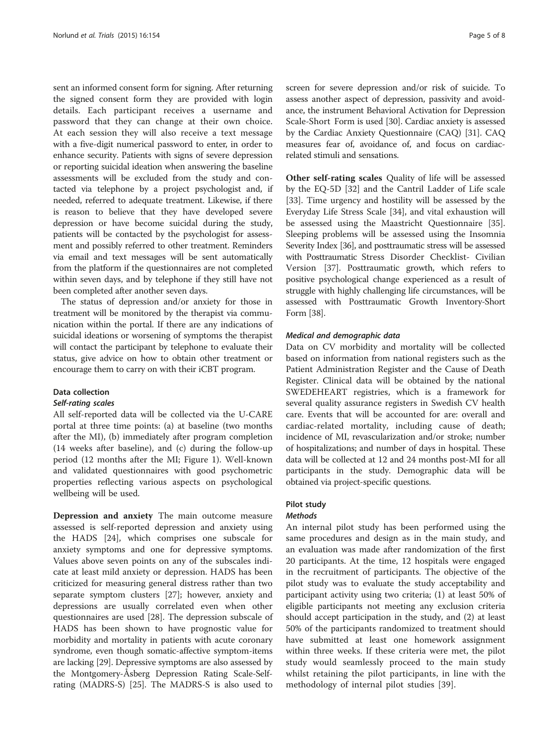sent an informed consent form for signing. After returning the signed consent form they are provided with login details. Each participant receives a username and password that they can change at their own choice. At each session they will also receive a text message with a five-digit numerical password to enter, in order to enhance security. Patients with signs of severe depression or reporting suicidal ideation when answering the baseline assessments will be excluded from the study and contacted via telephone by a project psychologist and, if needed, referred to adequate treatment. Likewise, if there is reason to believe that they have developed severe depression or have become suicidal during the study, patients will be contacted by the psychologist for assessment and possibly referred to other treatment. Reminders via email and text messages will be sent automatically from the platform if the questionnaires are not completed within seven days, and by telephone if they still have not been completed after another seven days.

The status of depression and/or anxiety for those in treatment will be monitored by the therapist via communication within the portal. If there are any indications of suicidal ideations or worsening of symptoms the therapist will contact the participant by telephone to evaluate their status, give advice on how to obtain other treatment or encourage them to carry on with their iCBT program.

#### Data collection

## Self-rating scales

All self-reported data will be collected via the U-CARE portal at three time points: (a) at baseline (two months after the MI), (b) immediately after program completion (14 weeks after baseline), and (c) during the follow-up period (12 months after the MI; Figure [1\)](#page-2-0). Well-known and validated questionnaires with good psychometric properties reflecting various aspects on psychological wellbeing will be used.

Depression and anxiety The main outcome measure assessed is self-reported depression and anxiety using the HADS [[24\]](#page-7-0), which comprises one subscale for anxiety symptoms and one for depressive symptoms. Values above seven points on any of the subscales indicate at least mild anxiety or depression. HADS has been criticized for measuring general distress rather than two separate symptom clusters [[27\]](#page-7-0); however, anxiety and depressions are usually correlated even when other questionnaires are used [\[28](#page-7-0)]. The depression subscale of HADS has been shown to have prognostic value for morbidity and mortality in patients with acute coronary syndrome, even though somatic-affective symptom-items are lacking [[29](#page-7-0)]. Depressive symptoms are also assessed by the Montgomery-Åsberg Depression Rating Scale-Selfrating (MADRS-S) [\[25\]](#page-7-0). The MADRS-S is also used to screen for severe depression and/or risk of suicide. To assess another aspect of depression, passivity and avoidance, the instrument Behavioral Activation for Depression Scale-Short Form is used [\[30\]](#page-7-0). Cardiac anxiety is assessed by the Cardiac Anxiety Questionnaire (CAQ) [[31](#page-7-0)]. CAQ measures fear of, avoidance of, and focus on cardiacrelated stimuli and sensations.

Other self-rating scales Quality of life will be assessed by the EQ-5D [[32\]](#page-7-0) and the Cantril Ladder of Life scale [[33\]](#page-7-0). Time urgency and hostility will be assessed by the Everyday Life Stress Scale [\[34](#page-7-0)], and vital exhaustion will be assessed using the Maastricht Questionnaire [\[35](#page-7-0)]. Sleeping problems will be assessed using the Insomnia Severity Index [\[36\]](#page-7-0), and posttraumatic stress will be assessed with Posttraumatic Stress Disorder Checklist- Civilian Version [\[37](#page-7-0)]. Posttraumatic growth, which refers to positive psychological change experienced as a result of struggle with highly challenging life circumstances, will be assessed with Posttraumatic Growth Inventory-Short Form [\[38\]](#page-7-0).

#### Medical and demographic data

Data on CV morbidity and mortality will be collected based on information from national registers such as the Patient Administration Register and the Cause of Death Register. Clinical data will be obtained by the national SWEDEHEART registries, which is a framework for several quality assurance registers in Swedish CV health care. Events that will be accounted for are: overall and cardiac-related mortality, including cause of death; incidence of MI, revascularization and/or stroke; number of hospitalizations; and number of days in hospital. These data will be collected at 12 and 24 months post-MI for all participants in the study. Demographic data will be obtained via project-specific questions.

## Pilot study

#### **Methods**

An internal pilot study has been performed using the same procedures and design as in the main study, and an evaluation was made after randomization of the first 20 participants. At the time, 12 hospitals were engaged in the recruitment of participants. The objective of the pilot study was to evaluate the study acceptability and participant activity using two criteria; (1) at least 50% of eligible participants not meeting any exclusion criteria should accept participation in the study, and (2) at least 50% of the participants randomized to treatment should have submitted at least one homework assignment within three weeks. If these criteria were met, the pilot study would seamlessly proceed to the main study whilst retaining the pilot participants, in line with the methodology of internal pilot studies [\[39](#page-7-0)].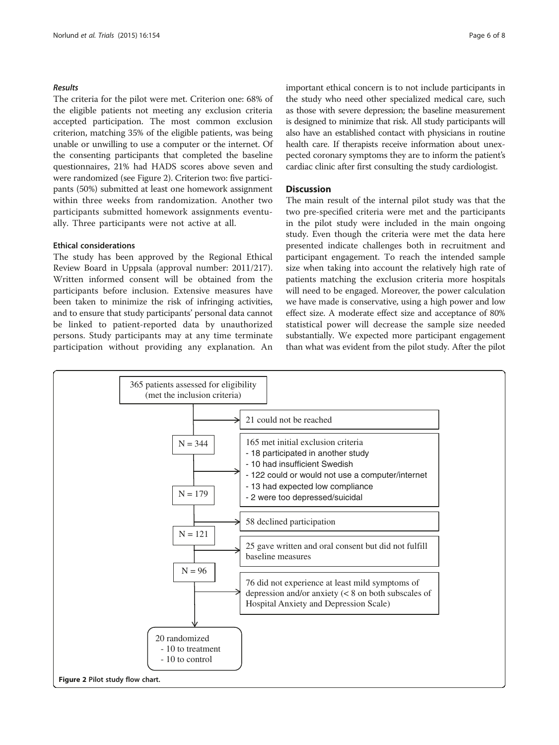## Results

The criteria for the pilot were met. Criterion one: 68% of the eligible patients not meeting any exclusion criteria accepted participation. The most common exclusion criterion, matching 35% of the eligible patients, was being unable or unwilling to use a computer or the internet. Of the consenting participants that completed the baseline questionnaires, 21% had HADS scores above seven and were randomized (see Figure 2). Criterion two: five participants (50%) submitted at least one homework assignment within three weeks from randomization. Another two participants submitted homework assignments eventually. Three participants were not active at all.

#### Ethical considerations

The study has been approved by the Regional Ethical Review Board in Uppsala (approval number: 2011/217). Written informed consent will be obtained from the participants before inclusion. Extensive measures have been taken to minimize the risk of infringing activities, and to ensure that study participants' personal data cannot be linked to patient-reported data by unauthorized persons. Study participants may at any time terminate participation without providing any explanation. An

important ethical concern is to not include participants in the study who need other specialized medical care, such as those with severe depression; the baseline measurement is designed to minimize that risk. All study participants will also have an established contact with physicians in routine health care. If therapists receive information about unexpected coronary symptoms they are to inform the patient's cardiac clinic after first consulting the study cardiologist.

## **Discussion**

The main result of the internal pilot study was that the two pre-specified criteria were met and the participants in the pilot study were included in the main ongoing study. Even though the criteria were met the data here presented indicate challenges both in recruitment and participant engagement. To reach the intended sample size when taking into account the relatively high rate of patients matching the exclusion criteria more hospitals will need to be engaged. Moreover, the power calculation we have made is conservative, using a high power and low effect size. A moderate effect size and acceptance of 80% statistical power will decrease the sample size needed substantially. We expected more participant engagement than what was evident from the pilot study. After the pilot

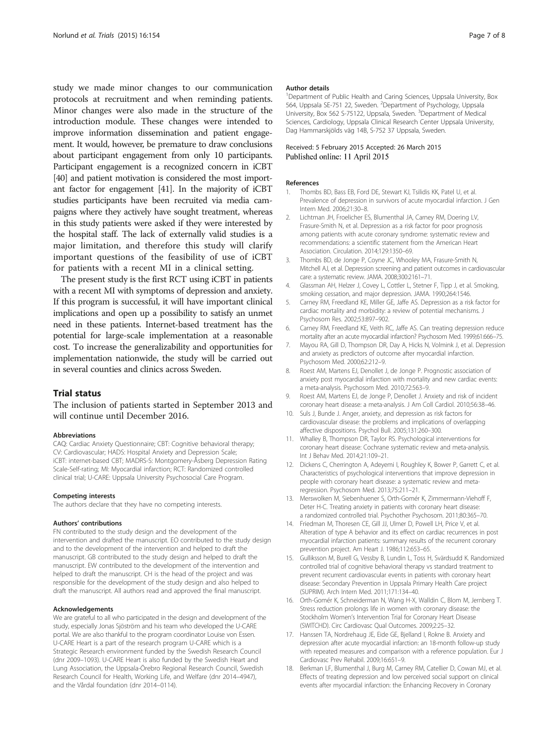<span id="page-6-0"></span>study we made minor changes to our communication protocols at recruitment and when reminding patients. Minor changes were also made in the structure of the introduction module. These changes were intended to improve information dissemination and patient engagement. It would, however, be premature to draw conclusions about participant engagement from only 10 participants. Participant engagement is a recognized concern in iCBT [[40](#page-7-0)] and patient motivation is considered the most important factor for engagement [\[41\]](#page-7-0). In the majority of iCBT studies participants have been recruited via media campaigns where they actively have sought treatment, whereas in this study patients were asked if they were interested by the hospital staff. The lack of externally valid studies is a major limitation, and therefore this study will clarify important questions of the feasibility of use of iCBT for patients with a recent MI in a clinical setting.

The present study is the first RCT using iCBT in patients with a recent MI with symptoms of depression and anxiety. If this program is successful, it will have important clinical implications and open up a possibility to satisfy an unmet need in these patients. Internet-based treatment has the potential for large-scale implementation at a reasonable cost. To increase the generalizability and opportunities for implementation nationwide, the study will be carried out in several counties and clinics across Sweden.

## Trial status

The inclusion of patients started in September 2013 and will continue until December 2016.

#### Abbreviations

CAQ: Cardiac Anxiety Questionnaire; CBT: Cognitive behavioral therapy; CV: Cardiovascular; HADS: Hospital Anxiety and Depression Scale; iCBT: internet-based CBT; MADRS-S: Montgomery-Åsberg Depression Rating Scale-Self-rating; MI: Myocardial infarction; RCT: Randomized controlled clinical trial; U-CARE: Uppsala University Psychosocial Care Program.

#### Competing interests

The authors declare that they have no competing interests.

#### Authors' contributions

FN contributed to the study design and the development of the intervention and drafted the manuscript. EO contributed to the study design and to the development of the intervention and helped to draft the manuscript. GB contributed to the study design and helped to draft the manuscript. EW contributed to the development of the intervention and helped to draft the manuscript. CH is the head of the project and was responsible for the development of the study design and also helped to draft the manuscript. All authors read and approved the final manuscript.

#### Acknowledgements

We are grateful to all who participated in the design and development of the study, especially Jonas Sjöström and his team who developed the U-CARE portal. We are also thankful to the program coordinator Louise von Essen. U-CARE Heart is a part of the research program U-CARE which is a Strategic Research environment funded by the Swedish Research Council (dnr 2009–1093). U-CARE Heart is also funded by the Swedish Heart and Lung Association, the Uppsala-Örebro Regional Research Council, Swedish Research Council for Health, Working Life, and Welfare (dnr 2014–4947), and the Vårdal foundation (dnr 2014–0114).

#### Author details

<sup>1</sup>Department of Public Health and Caring Sciences, Uppsala University, Box 564, Uppsala SE-751 22, Sweden. <sup>2</sup>Department of Psychology, Uppsala University, Box 562 S-75122, Uppsala, Sweden. <sup>3</sup>Department of Medical Sciences, Cardiology, Uppsala Clinical Research Center Uppsala University, Dag Hammarskjölds väg 14B, S-752 37 Uppsala, Sweden.

## Received: 5 February 2015 Accepted: 26 March 2015 Published online: 11 April 2015

#### References

- 1. Thombs BD, Bass EB, Ford DE, Stewart KJ, Tsilidis KK, Patel U, et al. Prevalence of depression in survivors of acute myocardial infarction. J Gen Intern Med. 2006;21:30–8.
- 2. Lichtman JH, Froelicher ES, Blumenthal JA, Carney RM, Doering LV, Frasure-Smith N, et al. Depression as a risk factor for poor prognosis among patients with acute coronary syndrome: systematic review and recommendations: a scientific statement from the American Heart Association. Circulation. 2014;129:1350–69.
- 3. Thombs BD, de Jonge P, Coyne JC, Whooley MA, Frasure-Smith N, Mitchell AJ, et al. Depression screening and patient outcomes in cardiovascular care: a systematic review. JAMA. 2008;300:2161–71.
- 4. Glassman AH, Helzer J, Covey L, Cottler L, Stetner F, Tipp J, et al. Smoking, smoking cessation, and major depression. JAMA. 1990;264:1546.
- 5. Carney RM, Freedland KE, Miller GE, Jaffe AS. Depression as a risk factor for cardiac mortality and morbidity: a review of potential mechanisms. J Psychosom Res. 2002;53:897–902.
- 6. Carney RM, Freedland KE, Veith RC, Jaffe AS. Can treating depression reduce mortality after an acute myocardial infarction? Psychosom Med. 1999;61:666–75.
- 7. Mayou RA, Gill D, Thompson DR, Day A, Hicks N, Volmink J, et al. Depression and anxiety as predictors of outcome after myocardial infarction. Psychosom Med. 2000;62:212–9.
- 8. Roest AM, Martens EJ, Denollet J, de Jonge P. Prognostic association of anxiety post myocardial infarction with mortality and new cardiac events: a meta-analysis. Psychosom Med. 2010;72:563–9.
- 9. Roest AM, Martens EJ, de Jonge P, Denollet J. Anxiety and risk of incident coronary heart disease: a meta-analysis. J Am Coll Cardiol. 2010;56:38–46.
- 10. Suls J, Bunde J. Anger, anxiety, and depression as risk factors for cardiovascular disease: the problems and implications of overlapping affective dispositions. Psychol Bull. 2005;131:260–300.
- 11. Whalley B, Thompson DR, Taylor RS. Psychological interventions for coronary heart disease: Cochrane systematic review and meta-analysis. Int J Behav Med. 2014;21:109–21.
- 12. Dickens C, Cherrington A, Adeyemi I, Roughley K, Bower P, Garrett C, et al. Characteristics of psychological interventions that improve depression in people with coronary heart disease: a systematic review and metaregression. Psychosom Med. 2013;75:211–21.
- 13. Merswolken M, Siebenhuener S, Orth-Gomér K, Zimmermann-Viehoff F, Deter H-C. Treating anxiety in patients with coronary heart disease: a randomized controlled trial. Psychother Psychosom. 2011;80:365–70.
- 14. Friedman M, Thoresen CE, Gill JJ, Ulmer D, Powell LH, Price V, et al. Alteration of type A behavior and its effect on cardiac recurrences in post myocardial infarction patients: summary results of the recurrent coronary prevention project. Am Heart J. 1986;112:653–65.
- 15. Gulliksson M, Burell G, Vessby B, Lundin L, Toss H, Svärdsudd K. Randomized controlled trial of cognitive behavioral therapy vs standard treatment to prevent recurrent cardiovascular events in patients with coronary heart disease: Secondary Prevention in Uppsala Primary Health Care project (SUPRIM). Arch Intern Med. 2011;171:134–40.
- 16. Orth-Gomér K, Schneiderman N, Wang H-X, Walldin C, Blom M, Jernberg T. Stress reduction prolongs life in women with coronary disease: the Stockholm Women's Intervention Trial for Coronary Heart Disease (SWITCHD). Circ Cardiovasc Qual Outcomes. 2009;2:25–32.
- 17. Hanssen TA, Nordrehaug JE, Eide GE, Bjelland I, Rokne B. Anxiety and depression after acute myocardial infarction: an 18-month follow-up study with repeated measures and comparison with a reference population. Eur J Cardiovasc Prev Rehabil. 2009;16:651–9.
- 18. Berkman LF, Blumenthal J, Burg M, Carney RM, Catellier D, Cowan MJ, et al. Effects of treating depression and low perceived social support on clinical events after myocardial infarction: the Enhancing Recovery in Coronary